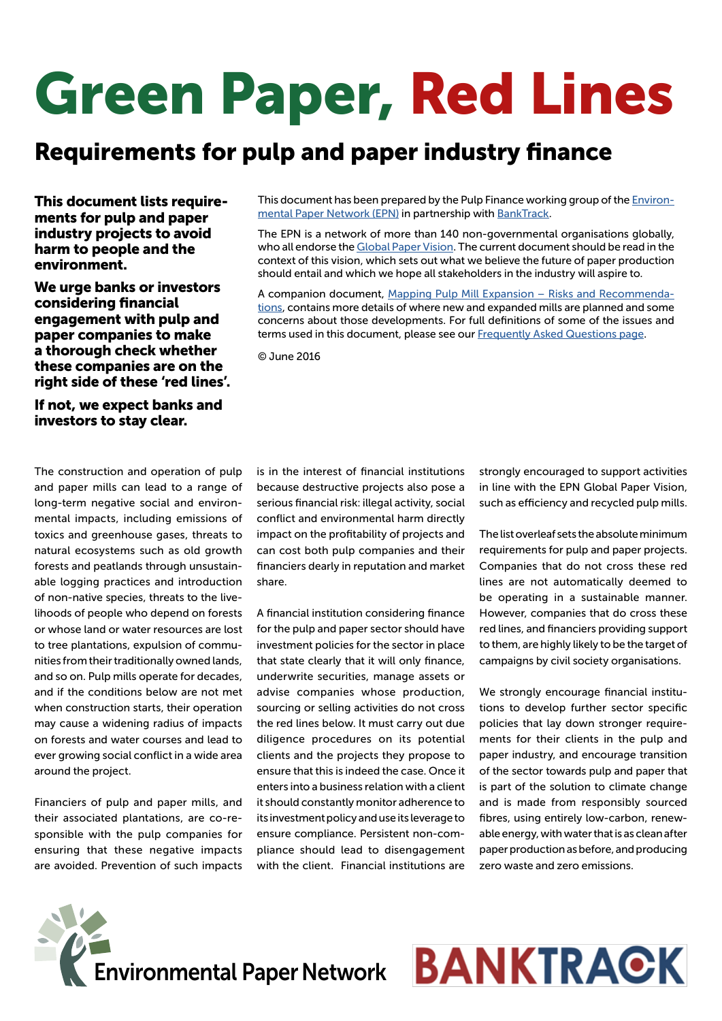# Green Paper, Red Lines

# Requirements for pulp and paper industry finance

This document lists requirements for pulp and paper industry projects to avoid harm to people and the environment.

We urge banks or investors considering financial engagement with pulp and paper companies to make a thorough check whether these companies are on the right side of these 'red lines'.

If not, we expect banks and investors to stay clear.

The construction and operation of pulp and paper mills can lead to a range of long-term negative social and environmental impacts, including emissions of toxics and greenhouse gases, threats to natural ecosystems such as old growth forests and peatlands through unsustainable logging practices and introduction of non-native species, threats to the livelihoods of people who depend on forests or whose land or water resources are lost to tree plantations, expulsion of communities from their traditionally owned lands, and so on. Pulp mills operate for decades, and if the conditions below are not met when construction starts, their operation may cause a widening radius of impacts on forests and water courses and lead to ever growing social conflict in a wide area around the project.

Financiers of pulp and paper mills, and their associated plantations, are co-responsible with the pulp companies for ensuring that these negative impacts are avoided. Prevention of such impacts This document has been prepared by the Pulp Finance working group of the [Environ](http://environmentalpaper.org/)[mental Paper Network \(EPN\)](http://environmentalpaper.org/) in partnership with [BankTrack.](http://www.banktrack.org/)

The EPN is a network of more than 140 non-governmental organisations globally, who all endorse the [Global Paper Vision](http://environmentalpaper.org/vision/). The current document should be read in the context of this vision, which sets out what we believe the future of paper production should entail and which we hope all stakeholders in the industry will aspire to.

A companion document, [Mapping Pulp Mill Expansion – Risks and Recommenda](http://www.environmentalpaper.eu/2015/09/08/eepn-report-mapping-pulp-mill-expansion/)[tions,](http://www.environmentalpaper.eu/2015/09/08/eepn-report-mapping-pulp-mill-expansion/) contains more details of where new and expanded mills are planned and some concerns about those developments. For full definitions of some of the issues and terms used in this document, please see our Frequently Asked Questions page.

© June 2016

is in the interest of financial institutions because destructive projects also pose a serious financial risk: illegal activity, social conflict and environmental harm directly impact on the profitability of projects and can cost both pulp companies and their financiers dearly in reputation and market share.

A financial institution considering finance for the pulp and paper sector should have investment policies for the sector in place that state clearly that it will only finance, underwrite securities, manage assets or advise companies whose production, sourcing or selling activities do not cross the red lines below. It must carry out due diligence procedures on its potential clients and the projects they propose to ensure that this is indeed the case. Once it enters into a business relation with a client it should constantly monitor adherence to its investment policy and use its leverage to ensure compliance. Persistent non-compliance should lead to disengagement with the client. Financial institutions are

strongly encouraged to support activities in line with the EPN Global Paper Vision, such as efficiency and recycled pulp mills.

The list overleaf sets the absolute minimum requirements for pulp and paper projects. Companies that do not cross these red lines are not automatically deemed to be operating in a sustainable manner. However, companies that do cross these red lines, and financiers providing support to them, are highly likely to be the target of campaigns by civil society organisations.

We strongly encourage financial institutions to develop further sector specific policies that lay down stronger requirements for their clients in the pulp and paper industry, and encourage transition of the sector towards pulp and paper that is part of the solution to climate change and is made from responsibly sourced fibres, using entirely low-carbon, renewable energy, with water that is as clean after paper production as before, and producing zero waste and zero emissions.